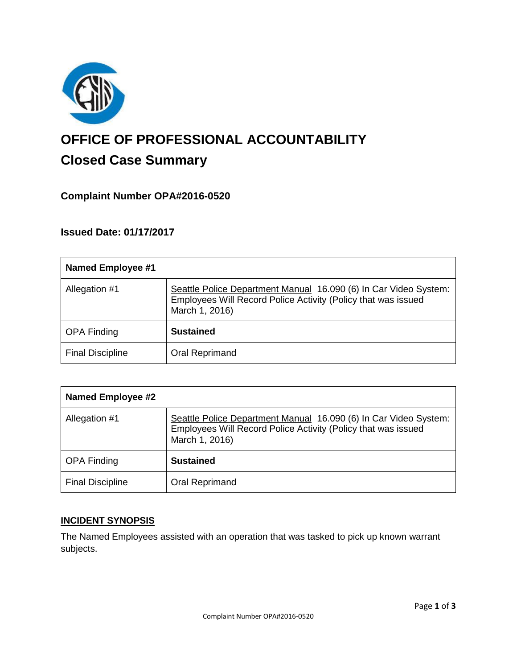

# **OFFICE OF PROFESSIONAL ACCOUNTABILITY Closed Case Summary**

# **Complaint Number OPA#2016-0520**

# **Issued Date: 01/17/2017**

| <b>Named Employee #1</b> |                                                                                                                                                     |
|--------------------------|-----------------------------------------------------------------------------------------------------------------------------------------------------|
| Allegation #1            | Seattle Police Department Manual 16.090 (6) In Car Video System:<br>Employees Will Record Police Activity (Policy that was issued<br>March 1, 2016) |
| <b>OPA Finding</b>       | <b>Sustained</b>                                                                                                                                    |
| <b>Final Discipline</b>  | Oral Reprimand                                                                                                                                      |

| <b>Named Employee #2</b> |                                                                                                                                                     |
|--------------------------|-----------------------------------------------------------------------------------------------------------------------------------------------------|
| Allegation #1            | Seattle Police Department Manual 16.090 (6) In Car Video System:<br>Employees Will Record Police Activity (Policy that was issued<br>March 1, 2016) |
| <b>OPA Finding</b>       | <b>Sustained</b>                                                                                                                                    |
| <b>Final Discipline</b>  | Oral Reprimand                                                                                                                                      |

## **INCIDENT SYNOPSIS**

The Named Employees assisted with an operation that was tasked to pick up known warrant subjects.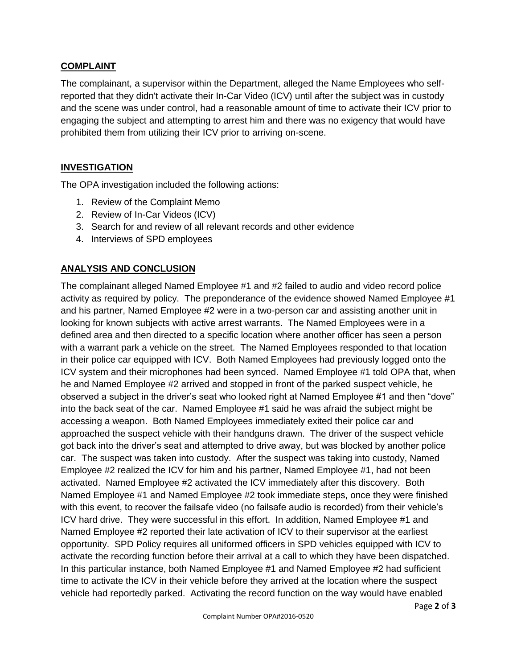## **COMPLAINT**

The complainant, a supervisor within the Department, alleged the Name Employees who selfreported that they didn't activate their In-Car Video (ICV) until after the subject was in custody and the scene was under control, had a reasonable amount of time to activate their ICV prior to engaging the subject and attempting to arrest him and there was no exigency that would have prohibited them from utilizing their ICV prior to arriving on-scene.

## **INVESTIGATION**

The OPA investigation included the following actions:

- 1. Review of the Complaint Memo
- 2. Review of In-Car Videos (ICV)
- 3. Search for and review of all relevant records and other evidence
- 4. Interviews of SPD employees

# **ANALYSIS AND CONCLUSION**

The complainant alleged Named Employee #1 and #2 failed to audio and video record police activity as required by policy. The preponderance of the evidence showed Named Employee #1 and his partner, Named Employee #2 were in a two-person car and assisting another unit in looking for known subjects with active arrest warrants. The Named Employees were in a defined area and then directed to a specific location where another officer has seen a person with a warrant park a vehicle on the street. The Named Employees responded to that location in their police car equipped with ICV. Both Named Employees had previously logged onto the ICV system and their microphones had been synced. Named Employee #1 told OPA that, when he and Named Employee #2 arrived and stopped in front of the parked suspect vehicle, he observed a subject in the driver's seat who looked right at Named Employee #1 and then "dove" into the back seat of the car. Named Employee #1 said he was afraid the subject might be accessing a weapon. Both Named Employees immediately exited their police car and approached the suspect vehicle with their handguns drawn. The driver of the suspect vehicle got back into the driver's seat and attempted to drive away, but was blocked by another police car. The suspect was taken into custody. After the suspect was taking into custody, Named Employee #2 realized the ICV for him and his partner, Named Employee #1, had not been activated. Named Employee #2 activated the ICV immediately after this discovery. Both Named Employee #1 and Named Employee #2 took immediate steps, once they were finished with this event, to recover the failsafe video (no failsafe audio is recorded) from their vehicle's ICV hard drive. They were successful in this effort. In addition, Named Employee #1 and Named Employee #2 reported their late activation of ICV to their supervisor at the earliest opportunity. SPD Policy requires all uniformed officers in SPD vehicles equipped with ICV to activate the recording function before their arrival at a call to which they have been dispatched. In this particular instance, both Named Employee #1 and Named Employee #2 had sufficient time to activate the ICV in their vehicle before they arrived at the location where the suspect vehicle had reportedly parked. Activating the record function on the way would have enabled